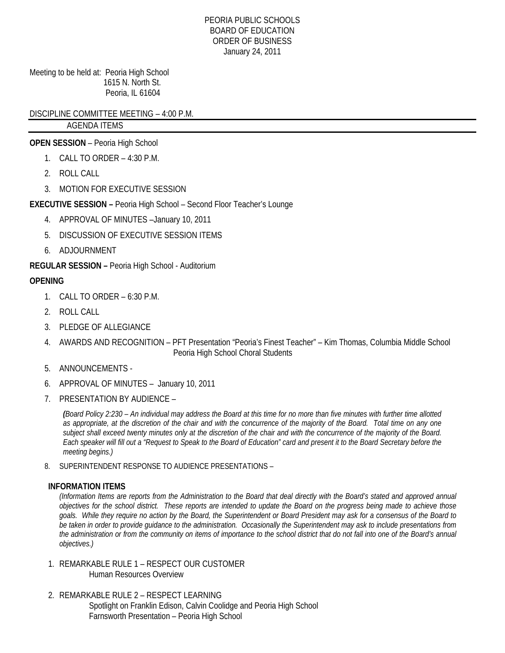#### PEORIA PUBLIC SCHOOLS BOARD OF EDUCATION ORDER OF BUSINESS January 24, 2011

Meeting to be held at: Peoria High School 1615 N. North St. Peoria, IL 61604

DISCIPLINE COMMITTEE MEETING – 4:00 P.M.

# AGENDA ITEMS

# **OPEN SESSION** – Peoria High School

- 1. CALL TO ORDER 4:30 P.M.
- 2. ROLL CALL
- 3. MOTION FOR EXECUTIVE SESSION

# **EXECUTIVE SESSION –** Peoria High School – Second Floor Teacher's Lounge

- 4. APPROVAL OF MINUTES –January 10, 2011
- 5. DISCUSSION OF EXECUTIVE SESSION ITEMS
- 6. ADJOURNMENT

## **REGULAR SESSION –** Peoria High School - Auditorium

# **OPENING**

- 1 CALL TO ORDER 6:30 P.M.
- 2. ROLL CALL
- 3. PLEDGE OF ALLEGIANCE
- 4. AWARDS AND RECOGNITION PFT Presentation "Peoria's Finest Teacher" Kim Thomas, Columbia Middle School Peoria High School Choral Students
- 5. ANNOUNCEMENTS -
- 6. APPROVAL OF MINUTES January 10, 2011
- 7. PRESENTATION BY AUDIENCE –

*(Board Policy 2:230 – An individual may address the Board at this time for no more than five minutes with further time allotted as appropriate, at the discretion of the chair and with the concurrence of the majority of the Board. Total time on any one subject shall exceed twenty minutes only at the discretion of the chair and with the concurrence of the majority of the Board. Each speaker will fill out a "Request to Speak to the Board of Education" card and present it to the Board Secretary before the meeting begins.)* 

8. SUPERINTENDENT RESPONSE TO AUDIENCE PRESENTATIONS –

## **INFORMATION ITEMS**

*(Information Items are reports from the Administration to the Board that deal directly with the Board's stated and approved annual objectives for the school district. These reports are intended to update the Board on the progress being made to achieve those goals. While they require no action by the Board, the Superintendent or Board President may ask for a consensus of the Board to be taken in order to provide guidance to the administration. Occasionally the Superintendent may ask to include presentations from the administration or from the community on items of importance to the school district that do not fall into one of the Board's annual objectives.)* 

- 1. REMARKABLE RULE 1 RESPECT OUR CUSTOMER Human Resources Overview
- 2. REMARKABLE RULE 2 RESPECT LEARNING Spotlight on Franklin Edison, Calvin Coolidge and Peoria High School Farnsworth Presentation – Peoria High School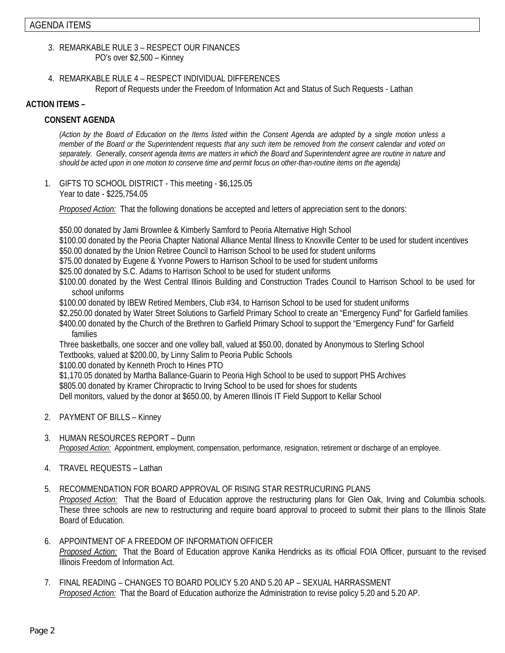- 3. REMARKABLE RULE 3 RESPECT OUR FINANCES PO's over \$2,500 – Kinney
- 4. REMARKABLE RULE 4 RESPECT INDIVIDUAL DIFFERENCES Report of Requests under the Freedom of Information Act and Status of Such Requests - Lathan

### **ACTION ITEMS –**

### **CONSENT AGENDA**

*(Action by the Board of Education on the Items listed within the Consent Agenda are adopted by a single motion unless a member of the Board or the Superintendent requests that any such item be removed from the consent calendar and voted on separately. Generally, consent agenda items are matters in which the Board and Superintendent agree are routine in nature and should be acted upon in one motion to conserve time and permit focus on other-than-routine items on the agenda)* 

1. GIFTS TO SCHOOL DISTRICT - This meeting - \$6,125.05 Year to date - \$225,754.05

*Proposed Action:* That the following donations be accepted and letters of appreciation sent to the donors:

\$50.00 donated by Jami Brownlee & Kimberly Samford to Peoria Alternative High School

\$100.00 donated by the Peoria Chapter National Alliance Mental Illness to Knoxville Center to be used for student incentives

\$50.00 donated by the Union Retiree Council to Harrison School to be used for student uniforms

\$75.00 donated by Eugene & Yvonne Powers to Harrison School to be used for student uniforms

\$25.00 donated by S.C. Adams to Harrison School to be used for student uniforms

 \$100.00 donated by the West Central Illinois Building and Construction Trades Council to Harrison School to be used for school uniforms

\$100.00 donated by IBEW Retired Members, Club #34, to Harrison School to be used for student uniforms

\$2,250.00 donated by Water Street Solutions to Garfield Primary School to create an "Emergency Fund" for Garfield families \$400.00 donated by the Church of the Brethren to Garfield Primary School to support the "Emergency Fund" for Garfield families

 Three basketballs, one soccer and one volley ball, valued at \$50.00, donated by Anonymous to Sterling School Textbooks, valued at \$200.00, by Linny Salim to Peoria Public Schools

\$100.00 donated by Kenneth Proch to Hines PTO

 \$1,170.05 donated by Martha Ballance-Guarin to Peoria High School to be used to support PHS Archives \$805.00 donated by Kramer Chiropractic to Irving School to be used for shoes for students Dell monitors, valued by the donor at \$650.00, by Ameren Illinois IT Field Support to Kellar School

- 2. PAYMENT OF BILLS Kinney
- 3. HUMAN RESOURCES REPORT Dunn *Proposed Action:* Appointment, employment, compensation, performance, resignation, retirement or discharge of an employee.
- 4. TRAVEL REQUESTS Lathan
- 5. RECOMMENDATION FOR BOARD APPROVAL OF RISING STAR RESTRUCURING PLANS *Proposed Action:* That the Board of Education approve the restructuring plans for Glen Oak, Irving and Columbia schools. These three schools are new to restructuring and require board approval to proceed to submit their plans to the Illinois State Board of Education.
- 6. APPOINTMENT OF A FREEDOM OF INFORMATION OFFICER *Proposed Action:* That the Board of Education approve Kanika Hendricks as its official FOIA Officer, pursuant to the revised Illinois Freedom of Information Act.
- 7. FINAL READING CHANGES TO BOARD POLICY 5.20 AND 5.20 AP SEXUAL HARRASSMENT *Proposed Action:* That the Board of Education authorize the Administration to revise policy 5.20 and 5.20 AP.